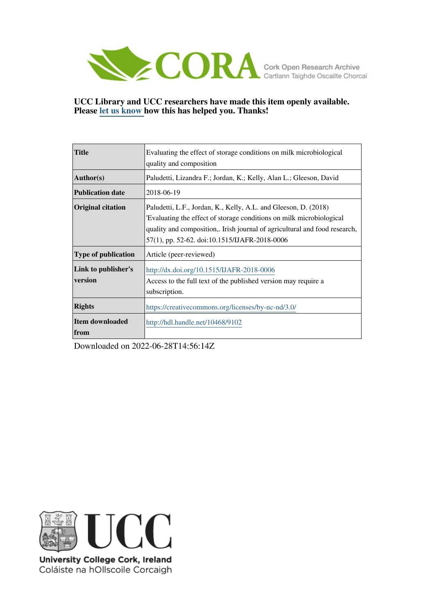

## **UCC Library and UCC researchers have made this item openly available. Please [let us know h](https://libguides.ucc.ie/openaccess/impact?suffix=9102&title=Evaluating the effect of storage conditions on milk microbiological quality and composition)ow this has helped you. Thanks!**

| <b>Title</b>               | Evaluating the effect of storage conditions on milk microbiological        |  |  |  |  |  |
|----------------------------|----------------------------------------------------------------------------|--|--|--|--|--|
|                            | quality and composition                                                    |  |  |  |  |  |
| Author(s)                  | Paludetti, Lizandra F.; Jordan, K.; Kelly, Alan L.; Gleeson, David         |  |  |  |  |  |
| <b>Publication date</b>    | 2018-06-19                                                                 |  |  |  |  |  |
| <b>Original citation</b>   | Paludetti, L.F., Jordan, K., Kelly, A.L. and Gleeson, D. (2018)            |  |  |  |  |  |
|                            | Evaluating the effect of storage conditions on milk microbiological        |  |  |  |  |  |
|                            | quality and composition,. Irish journal of agricultural and food research, |  |  |  |  |  |
|                            | 57(1), pp. 52-62. doi:10.1515/IJAFR-2018-0006                              |  |  |  |  |  |
| <b>Type of publication</b> | Article (peer-reviewed)                                                    |  |  |  |  |  |
| Link to publisher's        | http://dx.doi.org/10.1515/IJAFR-2018-0006                                  |  |  |  |  |  |
| version                    | Access to the full text of the published version may require a             |  |  |  |  |  |
|                            | subscription.                                                              |  |  |  |  |  |
| <b>Rights</b>              | https://creativecommons.org/licenses/by-nc-nd/3.0/                         |  |  |  |  |  |
| Item downloaded            | http://hdl.handle.net/10468/9102                                           |  |  |  |  |  |
| <b>from</b>                |                                                                            |  |  |  |  |  |

Downloaded on 2022-06-28T14:56:14Z



University College Cork, Ireland Coláiste na hOllscoile Corcaigh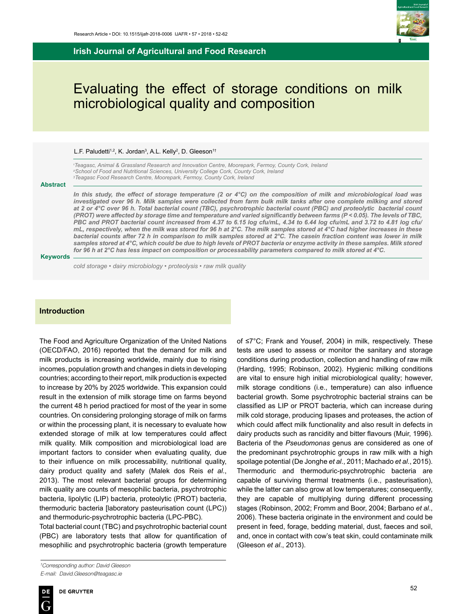**Irish Journal of Agricultural and Food Research**



# Evaluating the effect of storage conditions on milk microbiological quality and composition

#### L.F. Paludetti<sup>1,2</sup>, K. Jordan<sup>3</sup>, A.L. Kelly<sup>2</sup>, D. Gleeson<sup>1†</sup>

*1 Teagasc, Animal & Grassland Research and Innovation Centre, Moorepark, Fermoy, County Cork, Ireland 2 School of Food and Nutritional Sciences, University College Cork, County Cork, Ireland 3 Teagasc Food Research Centre, Moorepark, Fermoy, County Cork, Ireland*

#### **Abstract**

*In this study, the effect of storage temperature (2 or 4°C) on the composition of milk and microbiological load was*  investigated over 96 h. Milk samples were collected from farm bulk milk tanks after one complete milking and stored *at 2 or 4°C over 96 h. Total bacterial count (TBC), psychrotrophic bacterial count (PBC) and proteolytic bacterial count (PROT) were affected by storage time and temperature and varied significantly between farms (P < 0.05). The levels of TBC, PBC and PROT bacterial count increased from 4.37 to 6.15 log cfu/mL, 4.34 to 6.44 log cfu/mL and 3.72 to 4.81 log cfu/ mL, respectively, when the milk was stored for 96 h at 2°C. The milk samples stored at 4°C had higher increases in these bacterial counts after 72 h in comparison to milk samples stored at 2°C. The casein fraction content was lower in milk*  samples stored at 4°C, which could be due to high levels of PROT bacteria or enzyme activity in these samples. Milk stored *for 96 h at 2°C has less impact on composition or processability parameters compared to milk stored at 4°C.*

#### **Keywords**

*cold storage • dairy microbiology • proteolysis • raw milk quality*

#### **Introduction**

The Food and Agriculture Organization of the United Nations (OECD/FAO, 2016) reported that the demand for milk and milk products is increasing worldwide, mainly due to rising incomes, population growth and changes in diets in developing countries; according to their report, milk production is expected to increase by 20% by 2025 worldwide. This expansion could result in the extension of milk storage time on farms beyond the current 48 h period practiced for most of the year in some countries. On considering prolonging storage of milk on farms or within the processing plant, it is necessary to evaluate how extended storage of milk at low temperatures could affect milk quality. Milk composition and microbiological load are important factors to consider when evaluating quality, due to their influence on milk processability, nutritional quality, dairy product quality and safety (Malek dos Reis *et al*., 2013). The most relevant bacterial groups for determining milk quality are counts of mesophilic bacteria, psychrotrophic bacteria, lipolytic (LIP) bacteria, proteolytic (PROT) bacteria, thermoduric bacteria [laboratory pasteurisation count (LPC)) and thermoduric-psychrotrophic bacteria (LPC-PBC).

Total bacterial count (TBC) and psychrotrophic bacterial count (PBC) are laboratory tests that allow for quantification of mesophilic and psychrotrophic bacteria (growth temperature of ≤7°C; Frank and Yousef, 2004) in milk, respectively. These tests are used to assess or monitor the sanitary and storage conditions during production, collection and handling of raw milk (Harding, 1995; Robinson, 2002). Hygienic milking conditions are vital to ensure high initial microbiological quality; however, milk storage conditions (i.e., temperature) can also influence bacterial growth. Some psychrotrophic bacterial strains can be classified as LIP or PROT bacteria, which can increase during milk cold storage, producing lipases and proteases, the action of which could affect milk functionality and also result in defects in dairy products such as rancidity and bitter flavours (Muir, 1996). Bacteria of the *Pseudomonas* genus are considered as one of the predominant psychrotrophic groups in raw milk with a high spoilage potential (De Jonghe *et al*., 2011; Machado *et al*., 2015). Thermoduric and thermoduric-psychrotrophic bacteria are capable of surviving thermal treatments (i.e., pasteurisation), while the latter can also grow at low temperatures; consequently, they are capable of multiplying during different processing stages (Robinson, 2002; Fromm and Boor, 2004; Barbano *et al*., 2006). These bacteria originate in the environment and could be present in feed, forage, bedding material, dust, faeces and soil, and, once in contact with cow's teat skin, could contaminate milk (Gleeson *et al*., 2013).

*<sup>†</sup> Corresponding author: David Gleeson E-mail: David.Gleeson@teagasc.ie*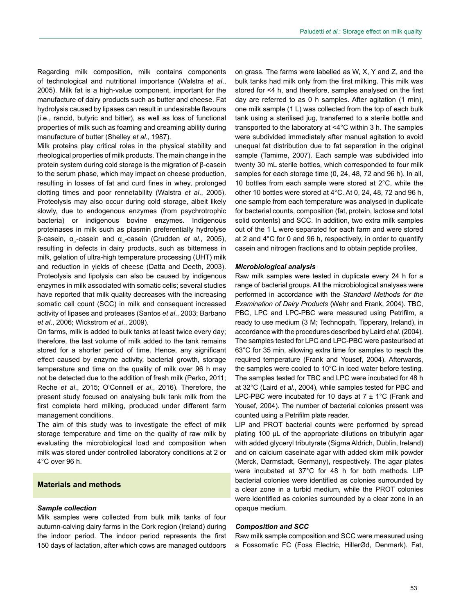Regarding milk composition, milk contains components of technological and nutritional importance (Walstra *et al*., 2005). Milk fat is a high-value component, important for the manufacture of dairy products such as butter and cheese. Fat hydrolysis caused by lipases can result in undesirable flavours (i.e., rancid, butyric and bitter), as well as loss of functional properties of milk such as foaming and creaming ability during manufacture of butter (Shelley *et al*.*,* 1987).

Milk proteins play critical roles in the physical stability and rheological properties of milk products. The main change in the protein system during cold storage is the migration of β-casein to the serum phase, which may impact on cheese production, resulting in losses of fat and curd fines in whey, prolonged clotting times and poor rennetability (Walstra *et al*., 2005). Proteolysis may also occur during cold storage, albeit likely slowly, due to endogenous enzymes (from psychrotrophic bacteria) or indigenous bovine enzymes. Indigenous proteinases in milk such as plasmin preferentially hydrolyse β-casein, α<sub>s</sub>-casein and α<sub>s</sub>-casein (Crudden *et al.*, 2005), resulting in defects in dairy products, such as bitterness in milk, gelation of ultra-high temperature processing (UHT) milk and reduction in yields of cheese (Datta and Deeth, 2003). Proteolysis and lipolysis can also be caused by indigenous enzymes in milk associated with somatic cells; several studies have reported that milk quality decreases with the increasing somatic cell count (SCC) in milk and consequent increased activity of lipases and proteases (Santos *et al*., 2003; Barbano *et al*., 2006; Wickstrom *et al*., 2009).

On farms, milk is added to bulk tanks at least twice every day; therefore, the last volume of milk added to the tank remains stored for a shorter period of time. Hence, any significant effect caused by enzyme activity, bacterial growth, storage temperature and time on the quality of milk over 96 h may not be detected due to the addition of fresh milk (Perko, 2011; Reche *et al*., 2015; O'Connell *et al*., 2016). Therefore, the present study focused on analysing bulk tank milk from the first complete herd milking, produced under different farm management conditions.

The aim of this study was to investigate the effect of milk storage temperature and time on the quality of raw milk by evaluating the microbiological load and composition when milk was stored under controlled laboratory conditions at 2 or 4°C over 96 h.

## **Materials and methods**

#### *Sample collection*

Milk samples were collected from bulk milk tanks of four autumn-calving dairy farms in the Cork region (Ireland) during the indoor period. The indoor period represents the first 150 days of lactation, after which cows are managed outdoors

on grass. The farms were labelled as W, X, Y and Z, and the bulk tanks had milk only from the first milking. This milk was stored for <4 h, and therefore, samples analysed on the first day are referred to as 0 h samples. After agitation (1 min), one milk sample (1 L) was collected from the top of each bulk tank using a sterilised jug, transferred to a sterile bottle and transported to the laboratory at <4°C within 3 h. The samples were subdivided immediately after manual agitation to avoid unequal fat distribution due to fat separation in the original sample (Tamime, 2007). Each sample was subdivided into twenty 30 mL sterile bottles, which corresponded to four milk samples for each storage time (0, 24, 48, 72 and 96 h). In all, 10 bottles from each sample were stored at 2°C, while the other 10 bottles were stored at 4°C. At 0, 24, 48, 72 and 96 h, one sample from each temperature was analysed in duplicate for bacterial counts, composition (fat, protein, lactose and total solid contents) and SCC. In addition, two extra milk samples out of the 1 L were separated for each farm and were stored at 2 and 4°C for 0 and 96 h, respectively, in order to quantify casein and nitrogen fractions and to obtain peptide profiles.

#### *Microbiological analysis*

Raw milk samples were tested in duplicate every 24 h for a range of bacterial groups. All the microbiological analyses were performed in accordance with the *Standard Methods for the Examination of Dairy Products* (Wehr and Frank, 2004). TBC, PBC, LPC and LPC-PBC were measured using Petrifilm, a ready to use medium (3 M; Technopath, Tipperary, Ireland), in accordance with the procedures described by Laird *et al*. (2004). The samples tested for LPC and LPC-PBC were pasteurised at 63°C for 35 min, allowing extra time for samples to reach the required temperature (Frank and Yousef, 2004). Afterwards, the samples were cooled to 10°C in iced water before testing. The samples tested for TBC and LPC were incubated for 48 h at 32°C (Laird *et al*., 2004), while samples tested for PBC and LPC-PBC were incubated for 10 days at  $7 \pm 1^{\circ}$ C (Frank and Yousef, 2004). The number of bacterial colonies present was counted using a Petrifilm plate reader.

LIP and PROT bacterial counts were performed by spread plating 100 µL of the appropriate dilutions on tributyrin agar with added glyceryl tributyrate (Sigma Aldrich, Dublin, Ireland) and on calcium caseinate agar with added skim milk powder (Merck, Darmstadt, Germany), respectively. The agar plates were incubated at 37°C for 48 h for both methods. LIP bacterial colonies were identified as colonies surrounded by a clear zone in a turbid medium, while the PROT colonies were identified as colonies surrounded by a clear zone in an opaque medium.

#### *Composition and SCC*

Raw milk sample composition and SCC were measured using a Fossomatic FC (Foss Electric, HillerØd, Denmark). Fat,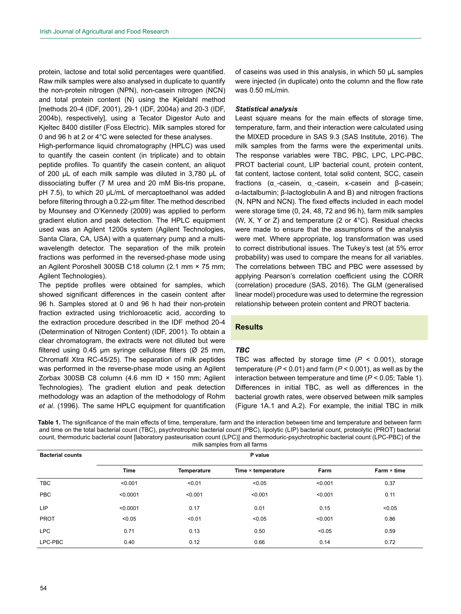protein, lactose and total solid percentages were quantified. Raw milk samples were also analysed in duplicate to quantify the non-protein nitrogen (NPN), non-casein nitrogen (NCN) and total protein content (N) using the Kjeldahl method [methods 20-4 (IDF, 2001), 29-1 (IDF, 2004a) and 20-3 (IDF, 2004b), respectively], using a Tecator Digestor Auto and Kjeltec 8400 distiller (Foss Electric). Milk samples stored for 0 and 96 h at 2 or 4°C were selected for these analyses.

High-performance liquid chromatography (HPLC) was used to quantify the casein content (in triplicate) and to obtain peptide profiles. To quantify the casein content, an aliquot of 200 µL of each milk sample was diluted in 3,780 µL of dissociating buffer (7 M urea and 20 mM Bis-tris propane, pH 7.5), to which 20 µL/mL of mercaptoethanol was added before filtering through a 0.22-µm filter. The method described by Mounsey and O'Kennedy (2009) was applied to perform gradient elution and peak detection. The HPLC equipment used was an Agilent 1200s system (Agilent Technologies, Santa Clara, CA, USA) with a quaternary pump and a multiwavelength detector. The separation of the milk protein fractions was performed in the reversed-phase mode using an Agilent Poroshell 300SB C18 column (2.1 mm × 75 mm; Agilent Technologies).

The peptide profiles were obtained for samples, which showed significant differences in the casein content after 96 h. Samples stored at 0 and 96 h had their non-protein fraction extracted using trichloroacetic acid, according to the extraction procedure described in the IDF method 20-4 (Determination of Nitrogen Content) (IDF, 2001). To obtain a clear chromatogram, the extracts were not diluted but were filtered using  $0.45$  µm syringe cellulose filters ( $\varnothing$  25 mm, Chromafil Xtra RC-45/25). The separation of milk peptides was performed in the reverse-phase mode using an Agilent Zorbax 300SB C8 column (4.6 mm ID × 150 mm; Agilent Technologies). The gradient elution and peak detection methodology was an adaption of the methodology of Rohm *et al*. (1996). The same HPLC equipment for quantification

of caseins was used in this analysis, in which 50 µL samples were injected (in duplicate) onto the column and the flow rate was 0.50 mL/min.

#### *Statistical analysis*

Least square means for the main effects of storage time, temperature, farm, and their interaction were calculated using the MIXED procedure in SAS 9.3 (SAS Institute, 2016). The milk samples from the farms were the experimental units. The response variables were TBC, PBC, LPC, LPC-PBC, PROT bacterial count, LIP bacterial count, protein content, fat content, lactose content, total solid content, SCC, casein fractions ( $\alpha_{\text{st}}$ -casein,  $\alpha_{\text{st}}$ -casein, κ-casein and β-casein; α-lactalbumin; β-lactoglobulin A and B) and nitrogen fractions (N, NPN and NCN). The fixed effects included in each model were storage time (0, 24, 48, 72 and 96 h), farm milk samples (W, X, Y or Z) and temperature (2 or 4°C). Residual checks were made to ensure that the assumptions of the analysis were met. Where appropriate, log transformation was used to correct distributional issues. The Tukey's test (at 5% error probability) was used to compare the means for all variables. The correlations between TBC and PBC were assessed by applying Pearson's correlation coefficient using the CORR (correlation) procedure (SAS, 2016). The GLM (generalised linear model) procedure was used to determine the regression relationship between protein content and PROT bacteria.

## **Results**

#### *TBC*

TBC was affected by storage time (*P* < 0.001), storage temperature (*P* < 0.01) and farm (*P* < 0.001), as well as by the interaction between temperature and time (*P* < 0.05; Table 1). Differences in initial TBC, as well as differences in the bacterial growth rates, were observed between milk samples (Figure 1A.1 and A.2). For example, the initial TBC in milk

**Table 1.** The significance of the main effects of time, temperature, farm and the interaction between time and temperature and between farm and time on the total bacterial count (TBC), psychrotrophic bacterial count (PBC), lipolytic (LIP) bacterial count, proteolytic (PROT) bacterial count, thermoduric bacterial count [laboratory pasteurisation count (LPC)] and thermoduric-psychrotrophic bacterial count (LPC-PBC) of the milk samples from all farms

| <b>Bacterial counts</b> | P value     |             |                    |         |                    |  |  |  |
|-------------------------|-------------|-------------|--------------------|---------|--------------------|--|--|--|
|                         | <b>Time</b> | Temperature | Time × temperature | Farm    | $Farm \times time$ |  |  |  |
| TBC                     | < 0.001     | < 0.01      | < 0.05             | < 0.001 | 0.37               |  |  |  |
| <b>PBC</b>              | < 0.0001    | < 0.001     | < 0.001            | < 0.001 | 0.11               |  |  |  |
| <b>LIP</b>              | < 0.0001    | 0.17        | 0.01               | 0.15    | < 0.05             |  |  |  |
| <b>PROT</b>             | < 0.05      | < 0.01      | < 0.05             | < 0.001 | 0.86               |  |  |  |
| <b>LPC</b>              | 0.71        | 0.13        | 0.50               | < 0.05  | 0.59               |  |  |  |
| LPC-PBC                 | 0.40        | 0.12        | 0.66               | 0.14    | 0.72               |  |  |  |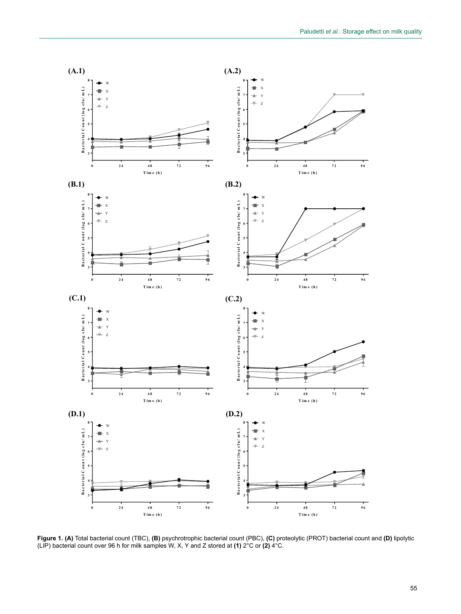

**Figure 1. (A)** Total bacterial count (TBC), **(B)** psychrotrophic bacterial count (PBC), **(C)** proteolytic (PROT) bacterial count and **(D)** lipolytic (LIP) bacterial count over 96 h for milk samples W, X, Y and Z stored at **(1)** 2°C or **(2)** 4°C.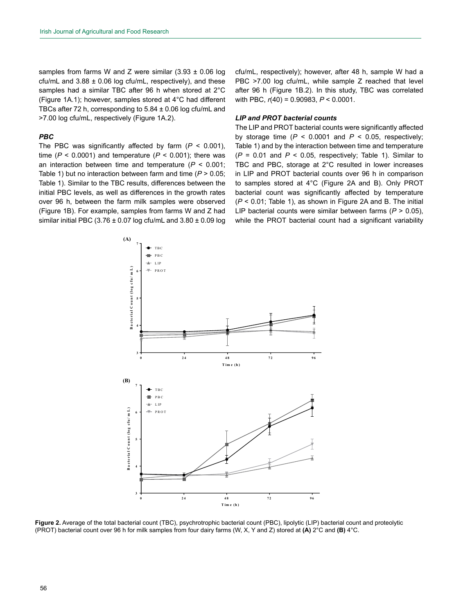samples from farms W and Z were similar  $(3.93 \pm 0.06 \text{ log}$ cfu/mL and  $3.88 \pm 0.06$  log cfu/mL, respectively), and these samples had a similar TBC after 96 h when stored at 2°C (Figure 1A.1); however, samples stored at 4°C had different TBCs after 72 h, corresponding to 5.84 ± 0.06 log cfu/mL and >7.00 log cfu/mL, respectively (Figure 1A.2).

## *PBC*

The PBC was significantly affected by farm  $(P < 0.001)$ , time ( $P < 0.0001$ ) and temperature ( $P < 0.001$ ); there was an interaction between time and temperature (*P* < 0.001; Table 1) but no interaction between farm and time (*P* > 0.05; Table 1). Similar to the TBC results, differences between the initial PBC levels, as well as differences in the growth rates over 96 h, between the farm milk samples were observed (Figure 1B). For example, samples from farms W and Z had similar initial PBC (3.76  $\pm$  0.07 log cfu/mL and 3.80  $\pm$  0.09 log

cfu/mL, respectively); however, after 48 h, sample W had a PBC >7.00 log cfu/mL, while sample Z reached that level after 96 h (Figure 1B.2). In this study, TBC was correlated with PBC, *r*(40) = 0.90983, *P* < 0.0001.

#### *LIP and PROT bacterial counts*

The LIP and PROT bacterial counts were significantly affected by storage time  $(P < 0.0001$  and  $P < 0.05$ , respectively; Table 1) and by the interaction between time and temperature  $(P = 0.01$  and  $P < 0.05$ , respectively; Table 1). Similar to TBC and PBC, storage at 2°C resulted in lower increases in LIP and PROT bacterial counts over 96 h in comparison to samples stored at 4°C (Figure 2A and B). Only PROT bacterial count was significantly affected by temperature (*P* < 0.01; Table 1), as shown in Figure 2A and B. The initial LIP bacterial counts were similar between farms (*P* > 0.05), while the PROT bacterial count had a significant variability



**Figure 2.** Average of the total bacterial count (TBC), psychrotrophic bacterial count (PBC), lipolytic (LIP) bacterial count and proteolytic (PROT) bacterial count over 96 h for milk samples from four dairy farms (W, X, Y and Z) stored at **(A)** 2°C and **(B)** 4°C. bacterial count and proteolytic (PROT) bacterial count over 96 h for milk samples from four dairy farms (W, X,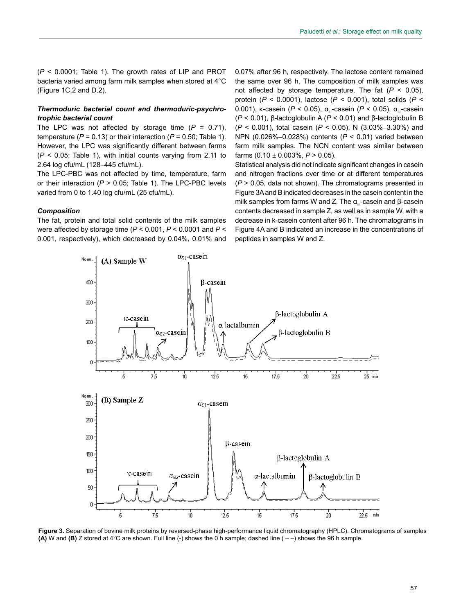(*P* < 0.0001; Table 1). The growth rates of LIP and PROT bacteria varied among farm milk samples when stored at 4°C (Figure 1C.2 and D.2).

## *Thermoduric bacterial count and thermoduric-psychrotrophic bacterial count*

The LPC was not affected by storage time  $(P = 0.71)$ , temperature ( $P = 0.13$ ) or their interaction ( $P = 0.50$ ; Table 1). However, the LPC was significantly different between farms (*P* < 0.05; Table 1), with initial counts varying from 2.11 to 2.64 log cfu/mL (128–445 cfu/mL).

The LPC-PBC was not affected by time, temperature, farm or their interaction (*P* > 0.05; Table 1). The LPC-PBC levels varied from 0 to 1.40 log cfu/mL (25 cfu/mL).

#### *Composition*

The fat, protein and total solid contents of the milk samples were affected by storage time (*P* < 0.001, *P* < 0.0001 and *P* < 0.001, respectively), which decreased by 0.04%, 0.01% and

0.07% after 96 h, respectively. The lactose content remained the same over 96 h. The composition of milk samples was not affected by storage temperature. The fat (*P* < 0.05), protein (*P* < 0.0001), lactose (*P* < 0.001), total solids (*P* < 0.001), κ-casein (*P* < 0.05), α<sub>s</sub>-casein (*P* < 0.05), α<sub>s</sub>-casein (*P* < 0.01), β-lactoglobulin A (*P* < 0.01) and β-lactoglobulin B (*P* < 0.001), total casein (*P* < 0.05), N (3.03%–3.30%) and NPN (0.026%–0.028%) contents (*P* < 0.01) varied between farm milk samples. The NCN content was similar between farms (0.10 ± 0.003%, *P* > 0.05).

Statistical analysis did not indicate significant changes in casein and nitrogen fractions over time or at different temperatures (*P* > 0.05, data not shown). The chromatograms presented in Figure 3A and B indicated decreases in the casein content in the milk samples from farms W and Z. The  $α_0$ -casein and β-casein contents decreased in sample Z, as well as in sample W, with a decrease in k-casein content after 96 h. The chromatograms in Figure 4A and B indicated an increase in the concentrations of peptides in samples W and Z.



**Figure 3.** Separation of bovine milk proteins by reversed-phase high-performance liquid chromatography (HPLC). Chromatograms of samples **(A)** W and **(B)** Z stored at  $4^{\circ}$ C are shown. Full line (-) shows the 0 h sample; dashed line  $(-)$  shows the 96 h sample.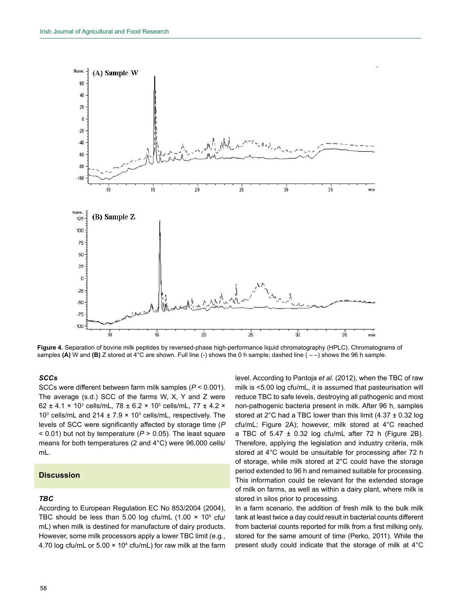

**Figure 4.** Separation of bovine milk peptides by reversed-phase high-performance liquid chromatography (HPLC). Chromatograms of samples **(A)** W and **(B)** Z stored at 4°C are shown. Full line (-) shows the 0 h sample; dashed line ( – –) shows the 96 h sample.

## *SCCs*

SCCs were different between farm milk samples (*P* < 0.001). The average (s.d.) SCC of the farms W, X, Y and Z were 62 ± 4.1  $\times$  10<sup>3</sup> cells/mL, 78 ± 6.2  $\times$  10<sup>3</sup> cells/mL, 77 ± 4.2  $\times$ 10<sup>3</sup> cells/mL and 214  $\pm$  7.9  $\times$  10<sup>3</sup> cells/mL, respectively. The levels of SCC were significantly affected by storage time (*P* < 0.01) but not by temperature (*P* > 0.05). The least square means for both temperatures (2 and 4°C) were 96,000 cells/ mL.

## **Discussion**

## *TBC*

According to European Regulation EC No 853/2004 (2004), TBC should be less than 5.00 log cfu/mL  $(1.00 \times 10^5 \text{ cft})$ mL) when milk is destined for manufacture of dairy products. However, some milk processors apply a lower TBC limit (e.g., 4.70 log cfu/mL or  $5.00 \times 10^4$  cfu/mL) for raw milk at the farm level. According to Pantoja *et al*. (2012), when the TBC of raw milk is <5.00 log cfu/mL, it is assumed that pasteurisation will reduce TBC to safe levels, destroying all pathogenic and most non-pathogenic bacteria present in milk. After 96 h, samples stored at 2°C had a TBC lower than this limit  $(4.37 \pm 0.32 \text{ log}$ cfu/mL; Figure 2A); however, milk stored at 4°C reached a TBC of  $5.47 \pm 0.32$  log cfu/mL after 72 h (Figure 2B). Therefore, applying the legislation and industry criteria, milk stored at 4°C would be unsuitable for processing after 72 h of storage, while milk stored at 2°C could have the storage period extended to 96 h and remained suitable for processing. This information could be relevant for the extended storage of milk on farms, as well as within a dairy plant, where milk is stored in silos prior to processing.

In a farm scenario, the addition of fresh milk to the bulk milk tank at least twice a day could result in bacterial counts different from bacterial counts reported for milk from a first milking only, stored for the same amount of time (Perko, 2011). While the present study could indicate that the storage of milk at 4°C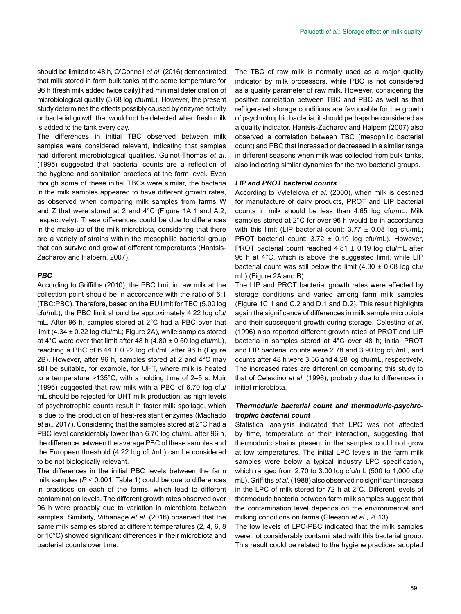should be limited to 48 h, O'Connell *et al*. (2016) demonstrated that milk stored in farm bulk tanks at the same temperature for 96 h (fresh milk added twice daily) had minimal deterioration of microbiological quality (3.68 log cfu/mL). However, the present study determines the effects possibly caused by enzyme activity or bacterial growth that would not be detected when fresh milk is added to the tank every day.

The differences in initial TBC observed between milk samples were considered relevant, indicating that samples had different microbiological qualities. Guinot-Thomas *et al*. (1995) suggested that bacterial counts are a reflection of the hygiene and sanitation practices at the farm level. Even though some of these initial TBCs were similar, the bacteria in the milk samples appeared to have different growth rates, as observed when comparing milk samples from farms W and Z that were stored at 2 and 4°C (Figure 1A.1 and A.2, respectively). These differences could be due to differences in the make-up of the milk microbiota, considering that there are a variety of strains within the mesophilic bacterial group that can survive and grow at different temperatures (Hantsis-Zacharov and Halpern, 2007).

#### *PBC*

According to Griffiths (2010), the PBC limit in raw milk at the collection point should be in accordance with the ratio of 6:1 (TBC:PBC). Therefore, based on the EU limit for TBC (5.00 log cfu/mL), the PBC limit should be approximately 4.22 log cfu/ mL. After 96 h, samples stored at 2°C had a PBC over that limit (4.34 ± 0.22 log cfu/mL; Figure 2A), while samples stored at 4°C were over that limit after 48 h  $(4.80 \pm 0.50 \text{ log of } \text{tu/mL})$ , reaching a PBC of 6.44 ± 0.22 log cfu/mL after 96 h (Figure 2B). However, after 96 h, samples stored at 2 and 4°C may still be suitable, for example, for UHT, where milk is heated to a temperature >135°C, with a holding time of 2–5 s. Muir (1996) suggested that raw milk with a PBC of 6.70 log cfu/ mL should be rejected for UHT milk production, as high levels of psychrotrophic counts result in faster milk spoilage, which is due to the production of heat-resistant enzymes (Machado *et al*., 2017). Considering that the samples stored at 2°C had a PBC level considerably lower than 6.70 log cfu/mL after 96 h, the difference between the average PBC of these samples and the European threshold (4.22 log cfu/mL) can be considered to be not biologically relevant.

The differences in the initial PBC levels between the farm milk samples (*P* < 0.001; Table 1) could be due to differences in practices on each of the farms, which lead to different contamination levels. The different growth rates observed over 96 h were probably due to variation in microbiota between samples. Similarly, Vithanage *et al*. (2016) observed that the same milk samples stored at different temperatures (2, 4, 6, 8 or 10°C) showed significant differences in their microbiota and bacterial counts over time.

The TBC of raw milk is normally used as a major quality indicator by milk processors, while PBC is not considered as a quality parameter of raw milk. However, considering the positive correlation between TBC and PBC as well as that refrigerated storage conditions are favourable for the growth of psychrotrophic bacteria, it should perhaps be considered as a quality indicator. Hantsis-Zacharov and Halpern (2007) also observed a correlation between TBC (mesophilic bacterial count) and PBC that increased or decreased in a similar range in different seasons when milk was collected from bulk tanks, also indicating similar dynamics for the two bacterial groups.

#### *LIP and PROT bacterial counts*

According to Vyletelova *et al*. (2000), when milk is destined for manufacture of dairy products, PROT and LIP bacterial counts in milk should be less than 4.65 log cfu/mL. Milk samples stored at 2°C for over 96 h would be in accordance with this limit (LIP bacterial count:  $3.77 \pm 0.08$  log cfu/mL; PROT bacterial count:  $3.72 \pm 0.19$  log cfu/mL). However, PROT bacterial count reached 4.81 ± 0.19 log cfu/mL after 96 h at 4°C, which is above the suggested limit, while LIP bacterial count was still below the limit  $(4.30 \pm 0.08$  log cfu/ mL) (Figure 2A and B).

The LIP and PROT bacterial growth rates were affected by storage conditions and varied among farm milk samples (Figure 1C.1 and C.2 and D.1 and D.2). This result highlights again the significance of differences in milk sample microbiota and their subsequent growth during storage. Celestino *et al*. (1996) also reported different growth rates of PROT and LIP bacteria in samples stored at 4°C over 48 h; initial PROT and LIP bacterial counts were 2.78 and 3.90 log cfu/mL, and counts after 48 h were 3.56 and 4.28 log cfu/mL, respectively. The increased rates are different on comparing this study to that of Celestino *et al*. (1996), probably due to differences in initial microbiota.

## *Thermoduric bacterial count and thermoduric-psychrotrophic bacterial count*

Statistical analysis indicated that LPC was not affected by time, temperature or their interaction, suggesting that thermoduric strains present in the samples could not grow at low temperatures. The initial LPC levels in the farm milk samples were below a typical industry LPC specification, which ranged from 2.70 to 3.00 log cfu/mL (500 to 1,000 cfu/ mL). Griffiths *et al*. (1988) also observed no significant increase in the LPC of milk stored for 72 h at 2°C. Different levels of thermoduric bacteria between farm milk samples suggest that the contamination level depends on the environmental and milking conditions on farms (Gleeson *et al*., 2013).

The low levels of LPC-PBC indicated that the milk samples were not considerably contaminated with this bacterial group. This result could be related to the hygiene practices adopted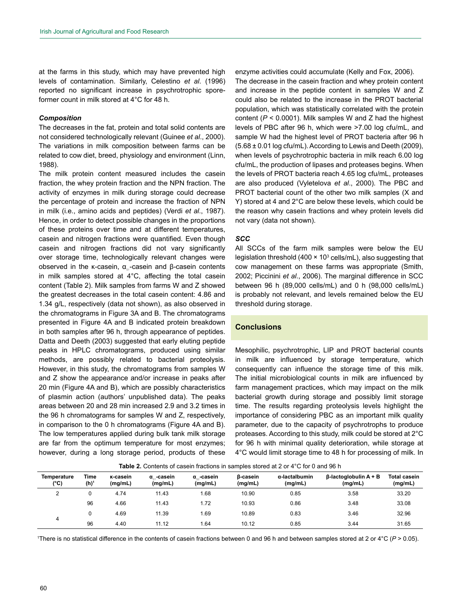at the farms in this study, which may have prevented high levels of contamination. Similarly, Celestino *et al*. (1996) reported no significant increase in psychrotrophic sporeformer count in milk stored at 4°C for 48 h.

#### *Composition*

The decreases in the fat, protein and total solid contents are not considered technologically relevant (Guinee *et al*., 2000). The variations in milk composition between farms can be related to cow diet, breed, physiology and environment (Linn, 1988).

The milk protein content measured includes the casein fraction, the whey protein fraction and the NPN fraction. The activity of enzymes in milk during storage could decrease the percentage of protein and increase the fraction of NPN in milk (i.e., amino acids and peptides) (Verdi *et al*., 1987). Hence, in order to detect possible changes in the proportions of these proteins over time and at different temperatures, casein and nitrogen fractions were quantified. Even though casein and nitrogen fractions did not vary significantly over storage time, technologically relevant changes were observed in the κ-casein,  $α<sub>0</sub>$ -casein and β-casein contents in milk samples stored at 4°C, affecting the total casein content (Table 2). Milk samples from farms W and Z showed the greatest decreases in the total casein content: 4.86 and 1.34 g/L, respectively (data not shown), as also observed in the chromatograms in Figure 3A and B. The chromatograms presented in Figure 4A and B indicated protein breakdown in both samples after 96 h, through appearance of peptides. Datta and Deeth (2003) suggested that early eluting peptide peaks in HPLC chromatograms, produced using similar methods, are possibly related to bacterial proteolysis. However, in this study, the chromatograms from samples W and Z show the appearance and/or increase in peaks after 20 min (Figure 4A and B), which are possibly characteristics of plasmin action (authors' unpublished data). The peaks areas between 20 and 28 min increased 2.9 and 3.2 times in the 96 h chromatograms for samples W and Z, respectively, in comparison to the 0 h chromatograms (Figure 4A and B). The low temperatures applied during bulk tank milk storage are far from the optimum temperature for most enzymes; however, during a long storage period, products of these

enzyme activities could accumulate (Kelly and Fox, 2006). The decrease in the casein fraction and whey protein content and increase in the peptide content in samples W and Z could also be related to the increase in the PROT bacterial population, which was statistically correlated with the protein content (*P* < 0.0001). Milk samples W and Z had the highest levels of PBC after 96 h, which were >7.00 log cfu/mL, and sample W had the highest level of PROT bacteria after 96 h (5.68 ± 0.01 log cfu/mL). According to Lewis and Deeth (2009), when levels of psychrotrophic bacteria in milk reach 6.00 log cfu/mL, the production of lipases and proteases begins. When the levels of PROT bacteria reach 4.65 log cfu/mL, proteases are also produced (Vyletelova *et al*., 2000). The PBC and PROT bacterial count of the other two milk samples (X and Y) stored at 4 and 2°C are below these levels, which could be the reason why casein fractions and whey protein levels did

#### *SCC*

not vary (data not shown).

All SCCs of the farm milk samples were below the EU legislation threshold (400  $\times$  10<sup>3</sup> cells/mL), also suggesting that cow management on these farms was appropriate (Smith, 2002; Piccinini *et al*., 2006). The marginal difference in SCC between 96 h (89,000 cells/mL) and 0 h (98,000 cells/mL) is probably not relevant, and levels remained below the EU threshold during storage.

#### **Conclusions**

Mesophilic, psychrotrophic, LIP and PROT bacterial counts in milk are influenced by storage temperature, which consequently can influence the storage time of this milk. The initial microbiological counts in milk are influenced by farm management practices, which may impact on the milk bacterial growth during storage and possibly limit storage time. The results regarding proteolysis levels highlight the importance of considering PBC as an important milk quality parameter, due to the capacity of psychrotrophs to produce proteases. According to this study, milk could be stored at 2°C for 96 h with minimal quality deterioration, while storage at 4°C would limit storage time to 48 h for processing of milk. In

**Table 2.** Contents of casein fractions in samples stored at 2 or 4°C for 0 and 96 h

| Temperature<br>(°C) | Time<br>(h) <sup>1</sup> | <b>K-casein</b><br>(mg/mL) | α casein<br>(mg/mL) | α <sub>∞</sub> -casein<br>(mg/mL) | <b>B-casein</b><br>(mg/mL) | α-lactalbumin<br>(mg/mL) | $\beta$ -lactoglobulin A + B<br>(mg/mL) | <b>Total casein</b><br>(mg/mL) |
|---------------------|--------------------------|----------------------------|---------------------|-----------------------------------|----------------------------|--------------------------|-----------------------------------------|--------------------------------|
|                     |                          | 4.74                       | 11.43               | 1.68                              | 10.90                      | 0.85                     | 3.58                                    | 33.20                          |
|                     | 96                       | 4.66                       | 11.43               | 1.72                              | 10.93                      | 0.86                     | 3.48                                    | 33.08                          |
| 4                   |                          | 4.69                       | 11.39               | 1.69                              | 10.89                      | 0.83                     | 3.46                                    | 32.96                          |
|                     | 96                       | 4.40                       | 11.12               | 1.64                              | 10.12                      | 0.85                     | 3.44                                    | 31.65                          |

1 There is no statistical difference in the contents of casein fractions between 0 and 96 h and between samples stored at 2 or 4°C (*P* > 0.05).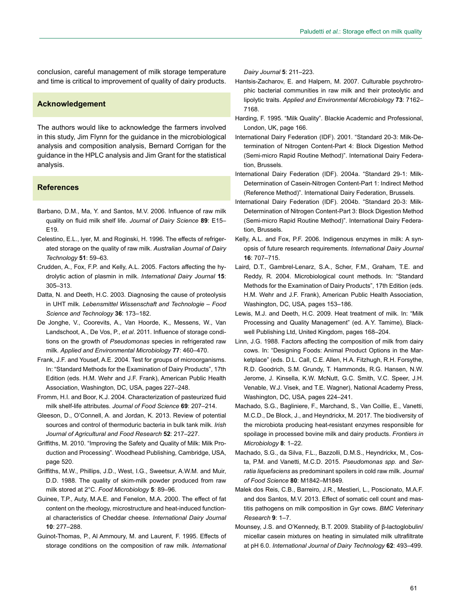conclusion, careful management of milk storage temperature and time is critical to improvement of quality of dairy products.

#### **Acknowledgement**

The authors would like to acknowledge the farmers involved in this study, Jim Flynn for the guidance in the microbiological analysis and composition analysis, Bernard Corrigan for the guidance in the HPLC analysis and Jim Grant for the statistical analysis.

## **References**

- Barbano, D.M., Ma, Y. and Santos, M.V. 2006. Influence of raw milk quality on fluid milk shelf life. *Journal of Dairy Science* **89**: E15– E19.
- Celestino, E.L., Iyer, M. and Roginski, H. 1996. The effects of refrigerated storage on the quality of raw milk. *Australian Journal of Dairy Technology* **51**: 59–63.
- Crudden, A., Fox, F.P. and Kelly, A.L. 2005. Factors affecting the hydrolytic action of plasmin in milk. *International Dairy Journal* **15**: 305–313.
- Datta, N. and Deeth, H.C. 2003. Diagnosing the cause of proteolysis in UHT milk. *Lebensmittel Wissenschaft and Technologie – Food Science and Technology* **36**: 173–182.
- De Jonghe, V., Coorevits, A., Van Hoorde, K., Messens, W., Van Landschoot, A., De Vos, P., *et al*. 2011. Influence of storage conditions on the growth of *Pseudomonas* species in refrigerated raw milk. *Applied and Environmental Microbiology* **77**: 460–470.
- Frank, J.F. and Yousef, A.E. 2004. Test for groups of microorganisms. In: "Standard Methods for the Examination of Dairy Products", 17th Edition (eds. H.M. Wehr and J.F. Frank), American Public Health Association, Washington, DC, USA, pages 227–248.
- Fromm, H.I. and Boor, K.J. 2004. Characterization of pasteurized fluid milk shelf-life attributes. *Journal of Food Science* **69**: 207–214.
- Gleeson, D., O'Connell, A. and Jordan, K. 2013. Review of potential sources and control of thermoduric bacteria in bulk tank milk. *Irish Journal of Agricultural and Food Research* **52**: 217–227.
- Griffiths, M. 2010. "Improving the Safety and Quality of Milk: Milk Production and Processing". Woodhead Publishing, Cambridge, USA, page 520.
- Griffiths, M.W., Phillips, J.D., West, I.G., Sweetsur, A.W.M. and Muir, D.D. 1988. The quality of skim-milk powder produced from raw milk stored at 2°C. *Food Microbiology* **5**: 89–96.
- Guinee, T.P., Auty, M.A.E. and Fenelon, M.A. 2000. The effect of fat content on the rheology, microstructure and heat-induced functional characteristics of Cheddar cheese. *International Dairy Journal* **10**: 277–288.
- Guinot-Thomas, P., Al Ammoury, M. and Laurent, F. 1995. Effects of storage conditions on the composition of raw milk. *International*

*Dairy Journal* **5**: 211–223.

- Hantsis-Zacharov, E. and Halpern, M. 2007. Culturable psychrotrophic bacterial communities in raw milk and their proteolytic and lipolytic traits. *Applied and Environmental Microbiology* **73**: 7162– 7168.
- Harding, F. 1995. "Milk Quality". Blackie Academic and Professional, London, UK, page 166.
- International Dairy Federation (IDF). 2001. "Standard 20-3: Milk-Determination of Nitrogen Content-Part 4: Block Digestion Method (Semi-micro Rapid Routine Method)". International Dairy Federation, Brussels.
- International Dairy Federation (IDF). 2004a. "Standard 29-1: Milk-Determination of Casein-Nitrogen Content-Part 1: Indirect Method (Reference Method)". International Dairy Federation, Brussels.
- International Dairy Federation (IDF). 2004b. "Standard 20-3: Milk-Determination of Nitrogen Content-Part 3: Block Digestion Method (Semi-micro Rapid Routine Method)". International Dairy Federation, Brussels.
- Kelly, A.L. and Fox, P.F. 2006. Indigenous enzymes in milk: A synopsis of future research requirements. *International Dairy Journal* **16**: 707–715.
- Laird, D.T., Gambrel-Lenarz, S.A., Scher, F.M., Graham, T.E. and Reddy, R. 2004. Microbiological count methods. In: "Standard Methods for the Examination of Dairy Products", 17th Edition (eds. H.M. Wehr and J.F. Frank), American Public Health Association, Washington, DC, USA, pages 153–186.
- Lewis, M.J. and Deeth, H.C. 2009. Heat treatment of milk. In: "Milk Processing and Quality Management" (ed. A.Y. Tamime), Blackwell Publishing Ltd, United Kingdom, pages 168–204.
- Linn, J.G. 1988. Factors affecting the composition of milk from dairy cows. In: "Designing Foods: Animal Product Options in the Marketplace" (eds. D.L. Call, C.E. Allen, H.A. Fitzhugh, R.H. Forsythe, R.D. Goodrich, S.M. Grundy, T. Hammonds, R.G. Hansen, N.W. Jerome, J. Kinsella, K.W. McNutt, G.C. Smith, V.C. Speer, J.H. Venable, W.J. Visek, and T.E. Wagner), National Academy Press, Washington, DC, USA, pages 224–241.
- Machado, S.G., Bagliniere, F., Marchand, S., Van Coillie, E., Vanetti, M.C.D., De Block, J., and Heyndrickx, M. 2017. The biodiversity of the microbiota producing heat-resistant enzymes responsible for spoilage in processed bovine milk and dairy products. *Frontiers in Microbiology* **8**: 1–22.
- Machado, S.G., da Silva, F.L., Bazzolli, D.M.S., Heyndrickx, M., Costa, P.M. and Vanetti, M.C.D. 2015. *Pseudomonas spp.* and *Serratia liquefaciens* as predominant spoilers in cold raw milk. *Journal of Food Science* **80**: M1842–M1849.
- Malek dos Reis, C.B., Barreiro, J.R., Mestieri, L., Poscionato, M.A.F. and dos Santos, M.V. 2013. Effect of somatic cell count and mastitis pathogens on milk composition in Gyr cows. *BMC Veterinary Research* **9**: 1–7.
- Mounsey, J.S. and O'Kennedy, B.T. 2009. Stability of β-lactoglobulin/ micellar casein mixtures on heating in simulated milk ultrafiltrate at pH 6.0. *International Journal of Dairy Technology* **62**: 493–499.